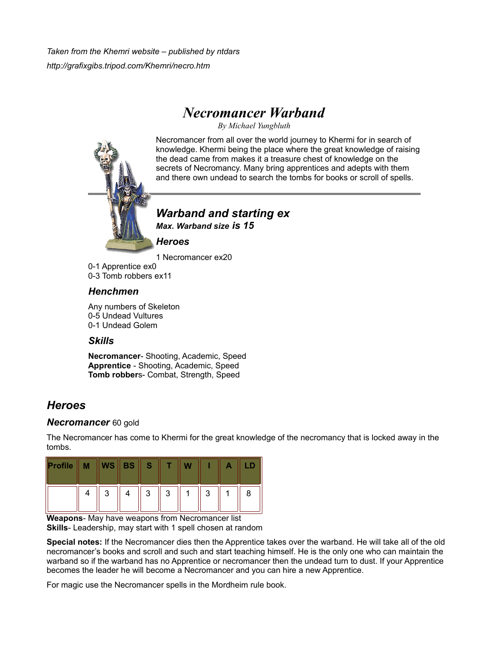*Taken from the Khemri website – published by ntdars http://grafixgibs.tripod.com/Khemri/necro.htm*

# *Necromancer Warband*

*By Michael Yungbluth*

Necromancer from all over the world journey to Khermi for in search of knowledge. Khermi being the place where the great knowledge of raising the dead came from makes it a treasure chest of knowledge on the secrets of Necromancy. Many bring apprentices and adepts with them and there own undead to search the tombs for books or scroll of spells.



*Warband and starting ex Max. Warband size is 15*

*Heroes*

1 Necromancer ex20

0-1 Apprentice ex0 0-3 Tomb robbers ex11

### *Henchmen*

Any numbers of Skeleton 0-5 Undead Vultures 0-1 Undead Golem

### *Skills*

**Necromancer**- Shooting, Academic, Speed **Apprentice** - Shooting, Academic, Speed **Tomb robber**s- Combat, Strength, Speed

## *Heroes*

### *Necromancer* 60 gold

The Necromancer has come to Khermi for the great knowledge of the necromancy that is locked away in the tombs.

| Profile | M |   | $WS \, \parallel \, BS \parallel S$ |   |   |   |   |
|---------|---|---|-------------------------------------|---|---|---|---|
|         |   | 3 |                                     | 3 | 3 | 3 | 8 |

**Weapons**- May have weapons from Necromancer list **Skills**- Leadership, may start with 1 spell chosen at random

**Special notes:** If the Necromancer dies then the Apprentice takes over the warband. He will take all of the old necromancer's books and scroll and such and start teaching himself. He is the only one who can maintain the warband so if the warband has no Apprentice or necromancer then the undead turn to dust. If your Apprentice becomes the leader he will become a Necromancer and you can hire a new Apprentice.

For magic use the Necromancer spells in the Mordheim rule book.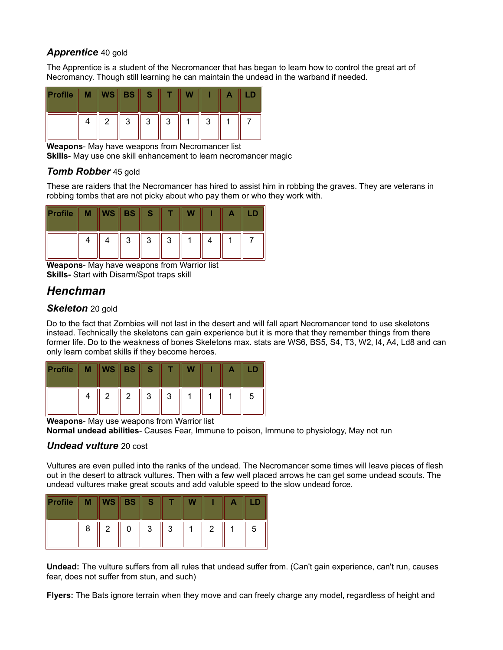#### *Apprentice* 40 gold

The Apprentice is a student of the Necromancer that has began to learn how to control the great art of Necromancy. Though still learning he can maintain the undead in the warband if needed.

| Profile |   | $WS \parallel BS \parallel$ | S. |   |        |  |
|---------|---|-----------------------------|----|---|--------|--|
|         | 2 | 2                           | 3  | 3 | 2<br>J |  |

**Weapons**- May have weapons from Necromancer list

**Skills**- May use one skill enhancement to learn necromancer magic

### *Tomb Robber* 45 gold

These are raiders that the Necromancer has hired to assist him in robbing the graves. They are veterans in robbing tombs that are not picky about who pay them or who they work with.

| Profile | М | $WS \parallel$ | BS     |        |        |  |  |
|---------|---|----------------|--------|--------|--------|--|--|
|         |   |                | 2<br>ັ | ູ<br>ບ | 2<br>J |  |  |

**Weapons**- May have weapons from Warrior list **Skills-** Start with Disarm/Spot traps skill

## *Henchman*

### **Skeleton** 20 gold

Do to the fact that Zombies will not last in the desert and will fall apart Necromancer tend to use skeletons instead. Technically the skeletons can gain experience but it is more that they remember things from there former life. Do to the weakness of bones Skeletons max. stats are WS6, BS5, S4, T3, W2, I4, A4, Ld8 and can only learn combat skills if they become heroes.

| Profile | М | $WS \parallel$ | <b>VBS</b> | S. |   | w |  |   |
|---------|---|----------------|------------|----|---|---|--|---|
|         |   |                | 2          | 3  | 3 |   |  | 5 |

**Weapons**- May use weapons from Warrior list

**Normal undead abilities**- Causes Fear, Immune to poison, Immune to physiology, May not run

### *Undead vulture* 20 cost

Vultures are even pulled into the ranks of the undead. The Necromancer some times will leave pieces of flesh out in the desert to attrack vultures. Then with a few well placed arrows he can get some undead scouts. The undead vultures make great scouts and add valuble speed to the slow undead force.

| Profile |   | <b>WS</b> | <b>BS</b> | S      |        |   |   |
|---------|---|-----------|-----------|--------|--------|---|---|
|         | 8 | 2         |           | 2<br>J | 2<br>J | ົ | 5 |

**Undead:** The vulture suffers from all rules that undead suffer from. (Can't gain experience, can't run, causes fear, does not suffer from stun, and such)

**Flyers:** The Bats ignore terrain when they move and can freely charge any model, regardless of height and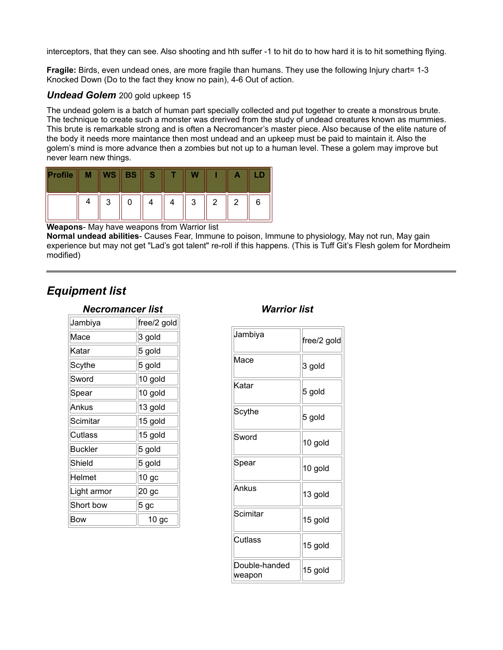interceptors, that they can see. Also shooting and hth suffer -1 to hit do to how hard it is to hit something flying.

**Fragile:** Birds, even undead ones, are more fragile than humans. They use the following Injury chart= 1-3 Knocked Down (Do to the fact they know no pain), 4-6 Out of action.

#### *Undead Golem* 200 gold upkeep 15

The undead golem is a batch of human part specially collected and put together to create a monstrous brute. The technique to create such a monster was drerived from the study of undead creatures known as mummies. This brute is remarkable strong and is often a Necromancer's master piece. Also because of the elite nature of the body it needs more maintance then most undead and an upkeep must be paid to maintain it. Also the golem's mind is more advance then a zombies but not up to a human level. These a golem may improve but never learn new things.

| Profile | М |        | $WS \parallel BS \parallel$ |  |        |   |   |   |
|---------|---|--------|-----------------------------|--|--------|---|---|---|
|         |   | ാ<br>J |                             |  | ર<br>ບ | 2 | 2 | 6 |

**Weapons**- May have weapons from Warrior list

**Normal undead abilities**- Causes Fear, Immune to poison, Immune to physiology, May not run, May gain experience but may not get "Lad's got talent" re-roll if this happens. (This is Tuff Git's Flesh golem for Mordheim modified)

### *Equipment list*

| Necromancer list |                   |  |  |  |  |  |
|------------------|-------------------|--|--|--|--|--|
| Jambiya          | free/2 gold       |  |  |  |  |  |
| Mace             | 3 gold            |  |  |  |  |  |
| Katar            | 5 gold            |  |  |  |  |  |
| Scythe           | 5 gold            |  |  |  |  |  |
| Sword            | 10 gold           |  |  |  |  |  |
| Spear            | 10 gold           |  |  |  |  |  |
| Ankus            | 13 gold           |  |  |  |  |  |
| Scimitar         | 15 gold           |  |  |  |  |  |
| Cutlass          | 15 gold           |  |  |  |  |  |
| <b>Buckler</b>   | 5 gold            |  |  |  |  |  |
| Shield           | 5 gold            |  |  |  |  |  |
| Helmet           | 10 <sub>g</sub> c |  |  |  |  |  |
| Light armor      | 20 <sub>g</sub> c |  |  |  |  |  |
| Short bow        | 5 gc              |  |  |  |  |  |
| Bow              | 10 <sub>g</sub> c |  |  |  |  |  |

### *Warrior list*

| Jambiya                 | free/2 gold |
|-------------------------|-------------|
| Масе                    | 3 gold      |
| Katar                   | 5 gold      |
| Scythe                  | 5 gold      |
| Sword                   | 10 gold     |
| Spear                   | 10 gold     |
| Ankus                   | 13 gold     |
| Scimitar                | 15 gold     |
| Cutlass                 | 15 gold     |
| Double-handed<br>weapon | 15 gold     |